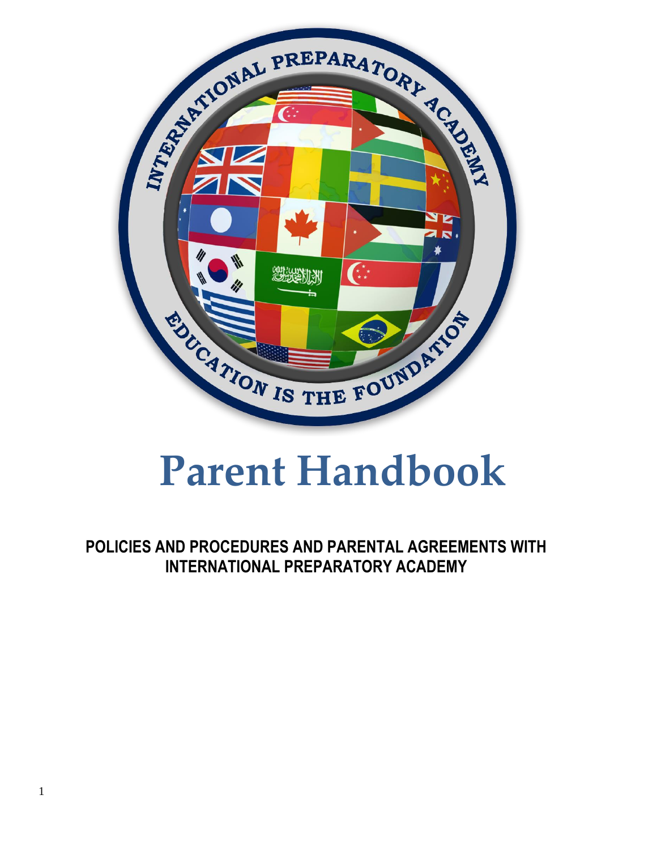

# **Parent Handbook**

**POLICIES AND PROCEDURES AND PARENTAL AGREEMENTS WITH INTERNATIONAL PREPARATORY ACADEMY**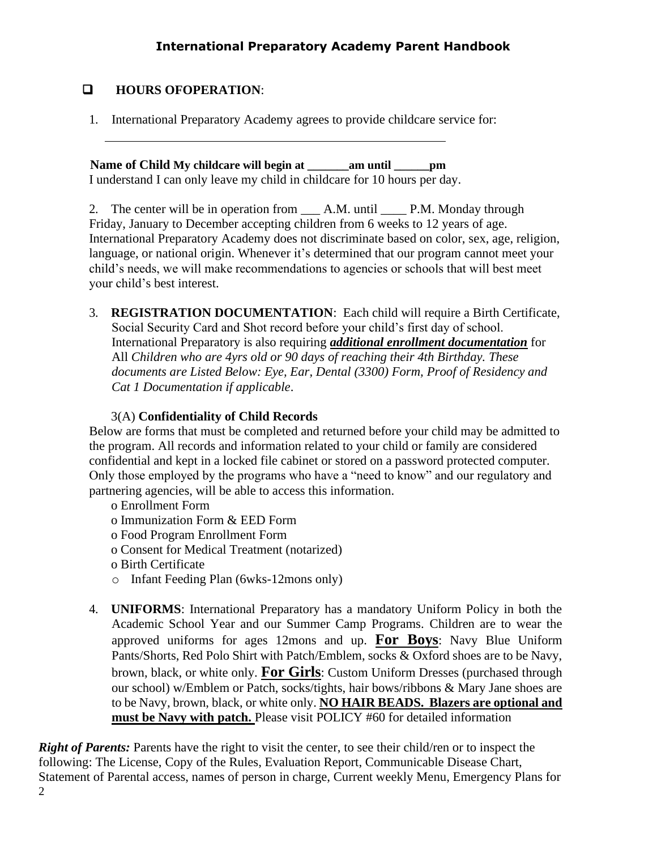# ❑ **HOURS OFOPERATION**:

1. International Preparatory Academy agrees to provide childcare service for:

 **Name of Child My childcare will begin at \_\_\_\_\_\_\_am until \_\_\_\_\_\_pm** I understand I can only leave my child in childcare for 10 hours per day.

2. The center will be in operation from \_\_\_\_ A.M. until \_\_\_\_\_ P.M. Monday through Friday, January to December accepting children from 6 weeks to 12 years of age. International Preparatory Academy does not discriminate based on color, sex, age, religion, language, or national origin. Whenever it's determined that our program cannot meet your child's needs, we will make recommendations to agencies or schools that will best meet your child's best interest.

3. **REGISTRATION DOCUMENTATION**: Each child will require a Birth Certificate, Social Security Card and Shot record before your child's first day of school. International Preparatory is also requiring *additional enrollment documentation* for All *Children who are 4yrs old or 90 days of reaching their 4th Birthday. These documents are Listed Below: Eye, Ear, Dental (3300) Form, Proof of Residency and Cat 1 Documentation if applicable*.

# 3(A) **Confidentiality of Child Records**

Below are forms that must be completed and returned before your child may be admitted to the program. All records and information related to your child or family are considered confidential and kept in a locked file cabinet or stored on a password protected computer. Only those employed by the programs who have a "need to know" and our regulatory and partnering agencies, will be able to access this information.

- o Enrollment Form
- o Immunization Form & EED Form
- o Food Program Enrollment Form
- o Consent for Medical Treatment (notarized)
- o Birth Certificate
- o Infant Feeding Plan (6wks-12mons only)
- 4. **UNIFORMS**: International Preparatory has a mandatory Uniform Policy in both the Academic School Year and our Summer Camp Programs. Children are to wear the approved uniforms for ages 12mons and up. **For Boys**: Navy Blue Uniform Pants/Shorts, Red Polo Shirt with Patch/Emblem, socks & Oxford shoes are to be Navy, brown, black, or white only. **For Girls**: Custom Uniform Dresses (purchased through our school) w/Emblem or Patch, socks/tights, hair bows/ribbons & Mary Jane shoes are to be Navy, brown, black, or white only. **NO HAIR BEADS. Blazers are optional and must be Navy with patch.** Please visit POLICY #60 for detailed information

2 *Right of Parents:* Parents have the right to visit the center, to see their child/ren or to inspect the following: The License, Copy of the Rules, Evaluation Report, Communicable Disease Chart, Statement of Parental access, names of person in charge, Current weekly Menu, Emergency Plans for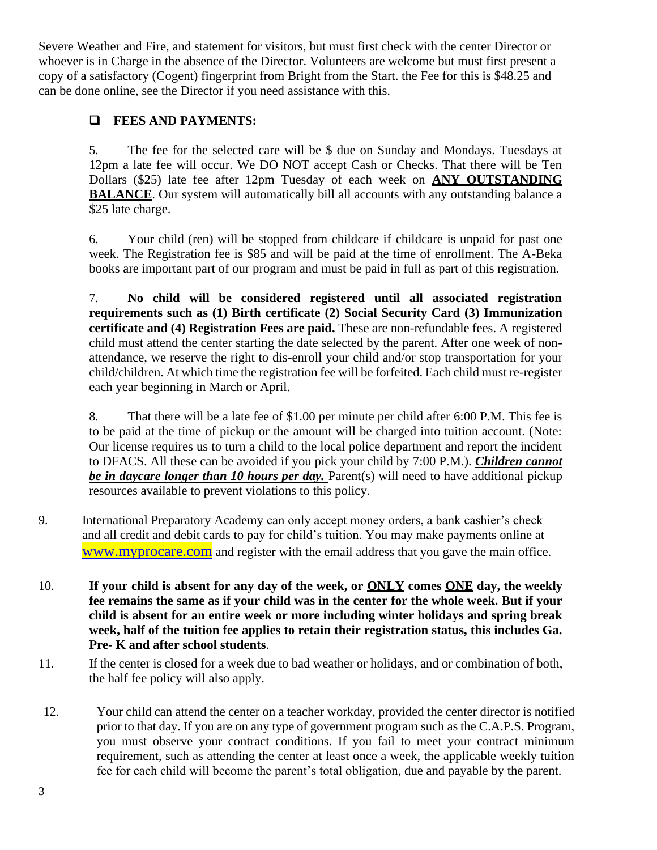Severe Weather and Fire, and statement for visitors, but must first check with the center Director or whoever is in Charge in the absence of the Director. Volunteers are welcome but must first present a copy of a satisfactory (Cogent) fingerprint from Bright from the Start. the Fee for this is \$48.25 and can be done online, see the Director if you need assistance with this.

# ❑ **FEES AND PAYMENTS:**

5. The fee for the selected care will be \$ due on Sunday and Mondays. Tuesdays at 12pm a late fee will occur. We DO NOT accept Cash or Checks. That there will be Ten Dollars (\$25) late fee after 12pm Tuesday of each week on **ANY OUTSTANDING BALANCE**. Our system will automatically bill all accounts with any outstanding balance a \$25 late charge.

6. Your child (ren) will be stopped from childcare if childcare is unpaid for past one week. The Registration fee is \$85 and will be paid at the time of enrollment. The A-Beka books are important part of our program and must be paid in full as part of this registration.

7. **No child will be considered registered until all associated registration requirements such as (1) Birth certificate (2) Social Security Card (3) Immunization certificate and (4) Registration Fees are paid.** These are non-refundable fees. A registered child must attend the center starting the date selected by the parent. After one week of nonattendance, we reserve the right to dis-enroll your child and/or stop transportation for your child/children. At which time the registration fee will be forfeited. Each child must re-register each year beginning in March or April.

8. That there will be a late fee of \$1.00 per minute per child after 6:00 P.M. This fee is to be paid at the time of pickup or the amount will be charged into tuition account. (Note: Our license requires us to turn a child to the local police department and report the incident to DFACS. All these can be avoided if you pick your child by 7:00 P.M.). *Children cannot be in daycare longer than 10 hours per day.* Parent(s) will need to have additional pickup resources available to prevent violations to this policy.

- 9. International Preparatory Academy can only accept money orders, a bank cashier's check and all credit and debit cards to pay for child's tuition. You may make payments online at [www.myprocare.com](http://www.myprocare.com/) and register with the email address that you gave the main office.
- 10. **If your child is absent for any day of the week, or ONLY comes ONE day, the weekly fee remains the same as if your child was in the center for the whole week. But if your child is absent for an entire week or more including winter holidays and spring break week, half of the tuition fee applies to retain their registration status, this includes Ga. Pre- K and after school students**.
- 11. If the center is closed for a week due to bad weather or holidays, and or combination of both, the half fee policy will also apply.
- 12. Your child can attend the center on a teacher workday, provided the center director is notified prior to that day. If you are on any type of government program such as the C.A.P.S. Program, you must observe your contract conditions. If you fail to meet your contract minimum requirement, such as attending the center at least once a week, the applicable weekly tuition fee for each child will become the parent's total obligation, due and payable by the parent.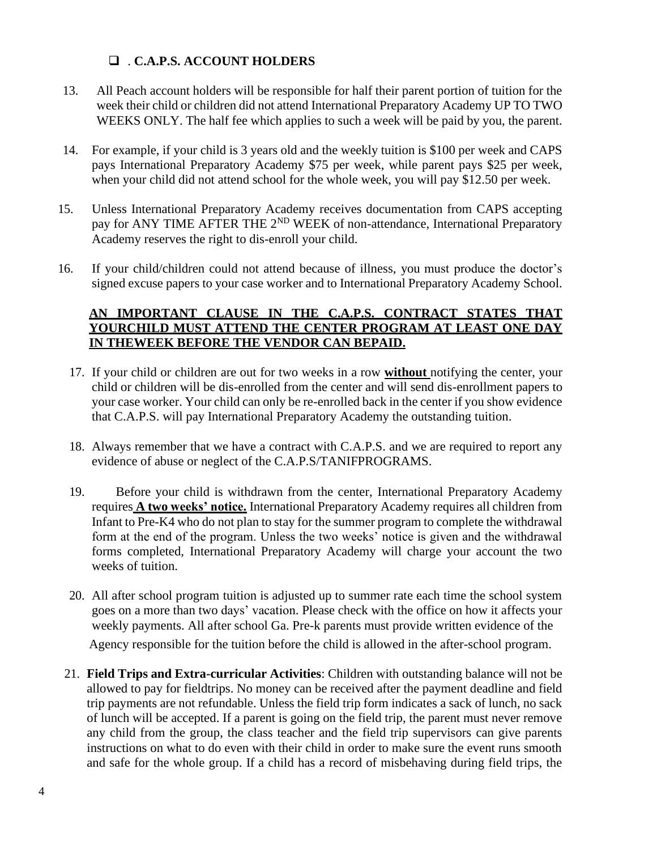## ❑ . **C.A.P.S. ACCOUNT HOLDERS**

- 13. All Peach account holders will be responsible for half their parent portion of tuition for the week their child or children did not attend International Preparatory Academy UP TO TWO WEEKS ONLY. The half fee which applies to such a week will be paid by you, the parent.
- 14. For example, if your child is 3 years old and the weekly tuition is \$100 per week and CAPS pays International Preparatory Academy \$75 per week, while parent pays \$25 per week, when your child did not attend school for the whole week, you will pay \$12.50 per week.
- 15. Unless International Preparatory Academy receives documentation from CAPS accepting pay for ANY TIME AFTER THE 2<sup>ND</sup> WEEK of non-attendance, International Preparatory Academy reserves the right to dis-enroll your child.
- 16. If your child/children could not attend because of illness, you must produce the doctor's signed excuse papers to your case worker and to International Preparatory Academy School.

### **AN IMPORTANT CLAUSE IN THE C.A.P.S. CONTRACT STATES THAT YOURCHILD MUST ATTEND THE CENTER PROGRAM AT LEAST ONE DAY IN THEWEEK BEFORE THE VENDOR CAN BEPAID.**

- 17. If your child or children are out for two weeks in a row **without** notifying the center, your child or children will be dis-enrolled from the center and will send dis-enrollment papers to your case worker. Your child can only be re-enrolled back in the center if you show evidence that C.A.P.S. will pay International Preparatory Academy the outstanding tuition.
- 18. Always remember that we have a contract with C.A.P.S. and we are required to report any evidence of abuse or neglect of the C.A.P.S/TANIFPROGRAMS.
- 19. Before your child is withdrawn from the center, International Preparatory Academy requires **A two weeks' notice.** International Preparatory Academy requires all children from Infant to Pre-K4 who do not plan to stay for the summer program to complete the withdrawal form at the end of the program. Unless the two weeks' notice is given and the withdrawal forms completed, International Preparatory Academy will charge your account the two weeks of tuition.
- 20. All after school program tuition is adjusted up to summer rate each time the school system goes on a more than two days' vacation. Please check with the office on how it affects your weekly payments. All after school Ga. Pre-k parents must provide written evidence of the Agency responsible for the tuition before the child is allowed in the after-school program.
- 21. **Field Trips and Extra-curricular Activities**: Children with outstanding balance will not be allowed to pay for fieldtrips. No money can be received after the payment deadline and field trip payments are not refundable. Unless the field trip form indicates a sack of lunch, no sack of lunch will be accepted. If a parent is going on the field trip, the parent must never remove any child from the group, the class teacher and the field trip supervisors can give parents instructions on what to do even with their child in order to make sure the event runs smooth and safe for the whole group. If a child has a record of misbehaving during field trips, the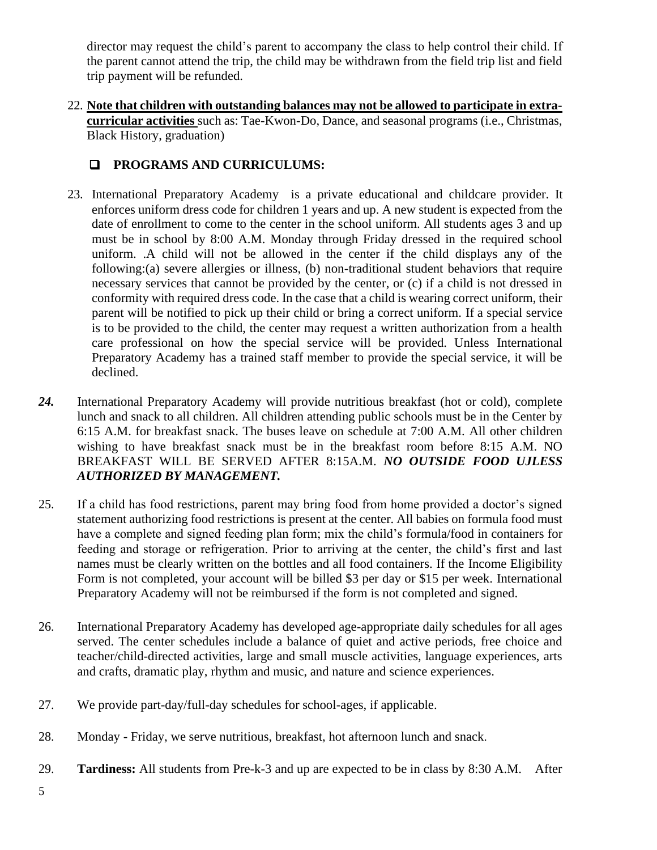director may request the child's parent to accompany the class to help control their child. If the parent cannot attend the trip, the child may be withdrawn from the field trip list and field trip payment will be refunded.

22. **Note that children with outstanding balances may not be allowed to participate in extracurricular activities** such as: Tae-Kwon-Do, Dance, and seasonal programs (i.e., Christmas, Black History, graduation)

# ❑ **PROGRAMS AND CURRICULUMS:**

- 23. International Preparatory Academy is a private educational and childcare provider. It enforces uniform dress code for children 1 years and up. A new student is expected from the date of enrollment to come to the center in the school uniform. All students ages 3 and up must be in school by 8:00 A.M. Monday through Friday dressed in the required school uniform. .A child will not be allowed in the center if the child displays any of the following:(a) severe allergies or illness, (b) non-traditional student behaviors that require necessary services that cannot be provided by the center, or (c) if a child is not dressed in conformity with required dress code. In the case that a child is wearing correct uniform, their parent will be notified to pick up their child or bring a correct uniform. If a special service is to be provided to the child, the center may request a written authorization from a health care professional on how the special service will be provided. Unless International Preparatory Academy has a trained staff member to provide the special service, it will be declined.
- *24.* International Preparatory Academy will provide nutritious breakfast (hot or cold), complete lunch and snack to all children. All children attending public schools must be in the Center by 6:15 A.M. for breakfast snack. The buses leave on schedule at 7:00 A.M. All other children wishing to have breakfast snack must be in the breakfast room before 8:15 A.M. NO BREAKFAST WILL BE SERVED AFTER 8:15A.M. *NO OUTSIDE FOOD UJLESS AUTHORIZED BY MANAGEMENT.*
- 25. If a child has food restrictions, parent may bring food from home provided a doctor's signed statement authorizing food restrictions is present at the center. All babies on formula food must have a complete and signed feeding plan form; mix the child's formula/food in containers for feeding and storage or refrigeration. Prior to arriving at the center, the child's first and last names must be clearly written on the bottles and all food containers. If the Income Eligibility Form is not completed, your account will be billed \$3 per day or \$15 per week. International Preparatory Academy will not be reimbursed if the form is not completed and signed.
- 26. International Preparatory Academy has developed age-appropriate daily schedules for all ages served. The center schedules include a balance of quiet and active periods, free choice and teacher/child-directed activities, large and small muscle activities, language experiences, arts and crafts, dramatic play, rhythm and music, and nature and science experiences.
- 27. We provide part-day/full-day schedules for school-ages, if applicable.
- 28. Monday Friday, we serve nutritious, breakfast, hot afternoon lunch and snack.
- 29. **Tardiness:** All students from Pre-k-3 and up are expected to be in class by 8:30 A.M. After
- 5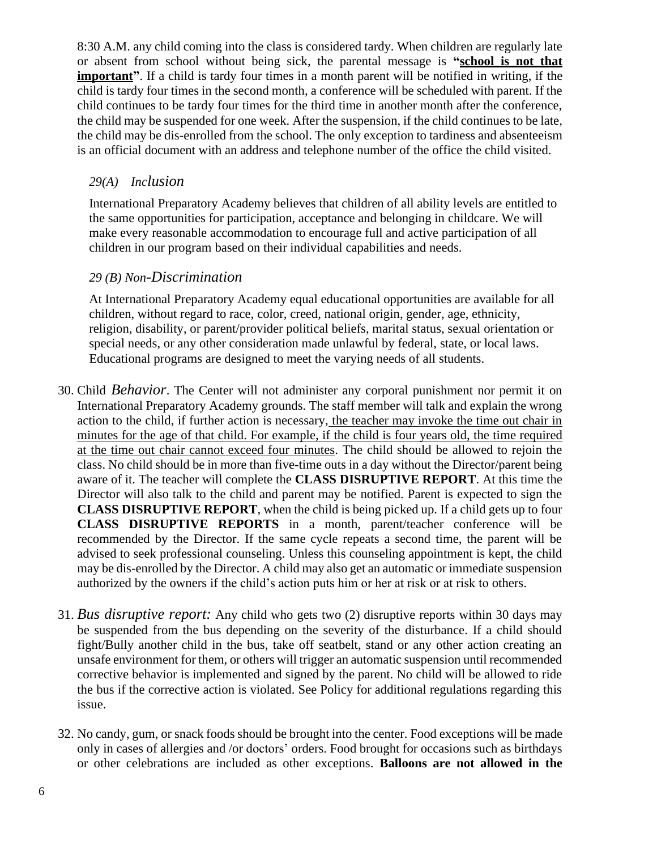8:30 A.M. any child coming into the class is considered tardy. When children are regularly late or absent from school without being sick, the parental message is **"school is not that important**". If a child is tardy four times in a month parent will be notified in writing, if the child is tardy four times in the second month, a conference will be scheduled with parent. If the child continues to be tardy four times for the third time in another month after the conference, the child may be suspended for one week. After the suspension, if the child continues to be late, the child may be dis-enrolled from the school. The only exception to tardiness and absenteeism is an official document with an address and telephone number of the office the child visited.

### *29(A) Inclusion*

International Preparatory Academy believes that children of all ability levels are entitled to the same opportunities for participation, acceptance and belonging in childcare. We will make every reasonable accommodation to encourage full and active participation of all children in our program based on their individual capabilities and needs.

### *29 (B) Non-Discrimination*

At International Preparatory Academy equal educational opportunities are available for all children, without regard to race, color, creed, national origin, gender, age, ethnicity, religion, disability, or parent/provider political beliefs, marital status, sexual orientation or special needs, or any other consideration made unlawful by federal, state, or local laws. Educational programs are designed to meet the varying needs of all students.

- 30. Child *Behavior*. The Center will not administer any corporal punishment nor permit it on International Preparatory Academy grounds. The staff member will talk and explain the wrong action to the child, if further action is necessary, the teacher may invoke the time out chair in minutes for the age of that child. For example, if the child is four years old, the time required at the time out chair cannot exceed four minutes. The child should be allowed to rejoin the class. No child should be in more than five-time outs in a day without the Director/parent being aware of it. The teacher will complete the **CLASS DISRUPTIVE REPORT**. At this time the Director will also talk to the child and parent may be notified. Parent is expected to sign the **CLASS DISRUPTIVE REPORT**, when the child is being picked up. If a child gets up to four **CLASS DISRUPTIVE REPORTS** in a month, parent/teacher conference will be recommended by the Director. If the same cycle repeats a second time, the parent will be advised to seek professional counseling. Unless this counseling appointment is kept, the child may be dis-enrolled by the Director. A child may also get an automatic or immediate suspension authorized by the owners if the child's action puts him or her at risk or at risk to others.
- 31. *Bus disruptive report:* Any child who gets two (2) disruptive reports within 30 days may be suspended from the bus depending on the severity of the disturbance. If a child should fight/Bully another child in the bus, take off seatbelt, stand or any other action creating an unsafe environment for them, or others will trigger an automatic suspension until recommended corrective behavior is implemented and signed by the parent. No child will be allowed to ride the bus if the corrective action is violated. See Policy for additional regulations regarding this issue.
- 32. No candy, gum, or snack foods should be brought into the center. Food exceptions will be made only in cases of allergies and /or doctors' orders. Food brought for occasions such as birthdays or other celebrations are included as other exceptions. **Balloons are not allowed in the**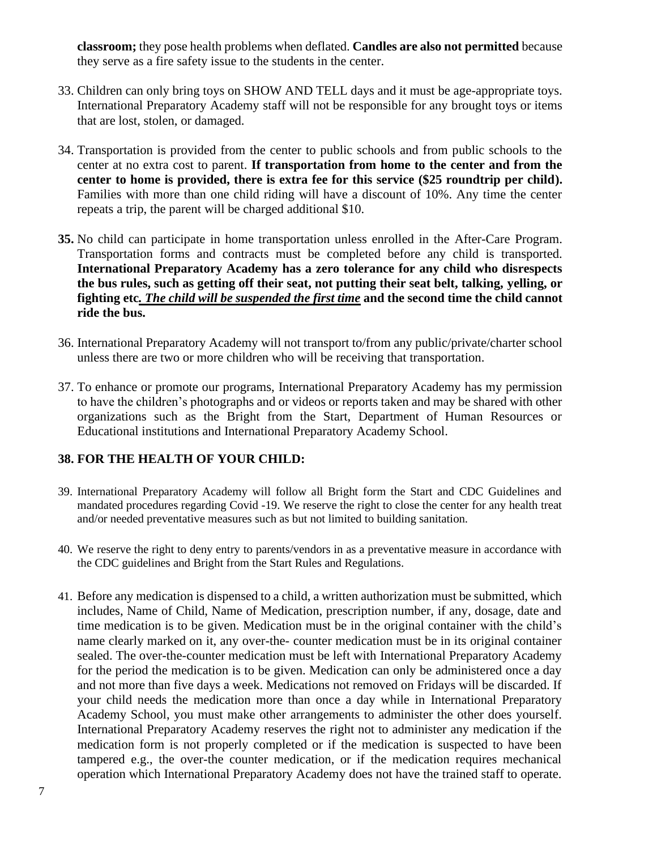**classroom;** they pose health problems when deflated. **Candles are also not permitted** because they serve as a fire safety issue to the students in the center.

- 33. Children can only bring toys on SHOW AND TELL days and it must be age-appropriate toys. International Preparatory Academy staff will not be responsible for any brought toys or items that are lost, stolen, or damaged.
- 34. Transportation is provided from the center to public schools and from public schools to the center at no extra cost to parent. **If transportation from home to the center and from the center to home is provided, there is extra fee for this service (\$25 roundtrip per child).** Families with more than one child riding will have a discount of 10%. Any time the center repeats a trip, the parent will be charged additional \$10.
- **35.** No child can participate in home transportation unless enrolled in the After-Care Program. Transportation forms and contracts must be completed before any child is transported. **International Preparatory Academy has a zero tolerance for any child who disrespects the bus rules, such as getting off their seat, not putting their seat belt, talking, yelling, or fighting etc***. The child will be suspended the first time* **and the second time the child cannot ride the bus.**
- 36. International Preparatory Academy will not transport to/from any public/private/charter school unless there are two or more children who will be receiving that transportation.
- 37. To enhance or promote our programs, International Preparatory Academy has my permission to have the children's photographs and or videos or reports taken and may be shared with other organizations such as the Bright from the Start, Department of Human Resources or Educational institutions and International Preparatory Academy School.

# **38. FOR THE HEALTH OF YOUR CHILD:**

- 39. International Preparatory Academy will follow all Bright form the Start and CDC Guidelines and mandated procedures regarding Covid -19. We reserve the right to close the center for any health treat and/or needed preventative measures such as but not limited to building sanitation.
- 40. We reserve the right to deny entry to parents/vendors in as a preventative measure in accordance with the CDC guidelines and Bright from the Start Rules and Regulations.
- 41. Before any medication is dispensed to a child, a written authorization must be submitted, which includes, Name of Child, Name of Medication, prescription number, if any, dosage, date and time medication is to be given. Medication must be in the original container with the child's name clearly marked on it, any over-the- counter medication must be in its original container sealed. The over-the-counter medication must be left with International Preparatory Academy for the period the medication is to be given. Medication can only be administered once a day and not more than five days a week. Medications not removed on Fridays will be discarded. If your child needs the medication more than once a day while in International Preparatory Academy School, you must make other arrangements to administer the other does yourself. International Preparatory Academy reserves the right not to administer any medication if the medication form is not properly completed or if the medication is suspected to have been tampered e.g., the over-the counter medication, or if the medication requires mechanical operation which International Preparatory Academy does not have the trained staff to operate.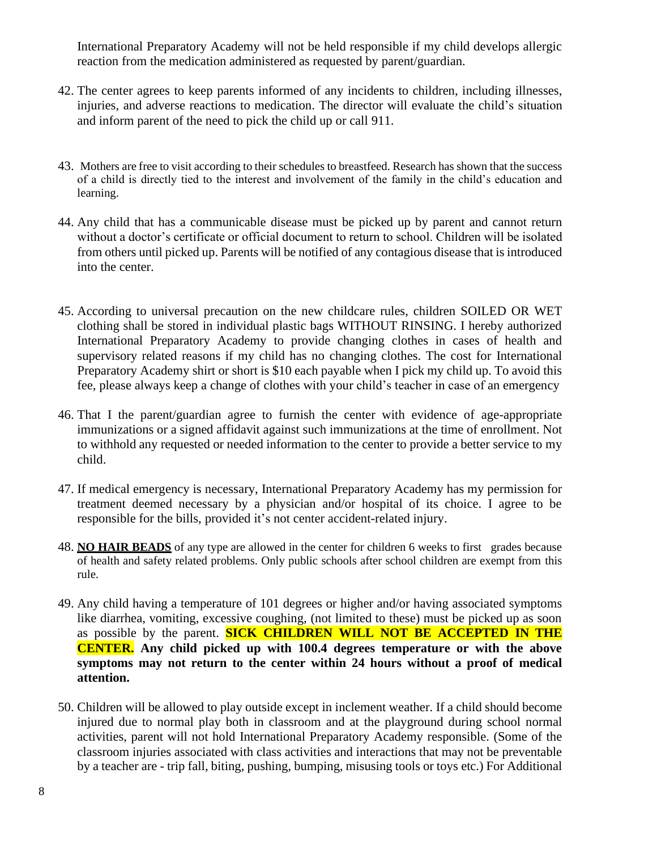International Preparatory Academy will not be held responsible if my child develops allergic reaction from the medication administered as requested by parent/guardian.

- 42. The center agrees to keep parents informed of any incidents to children, including illnesses, injuries, and adverse reactions to medication. The director will evaluate the child's situation and inform parent of the need to pick the child up or call 911.
- 43. Mothers are free to visit according to their schedules to breastfeed. Research has shown that the success of a child is directly tied to the interest and involvement of the family in the child's education and learning.
- 44. Any child that has a communicable disease must be picked up by parent and cannot return without a doctor's certificate or official document to return to school. Children will be isolated from others until picked up. Parents will be notified of any contagious disease that is introduced into the center.
- 45. According to universal precaution on the new childcare rules, children SOILED OR WET clothing shall be stored in individual plastic bags WITHOUT RINSING. I hereby authorized International Preparatory Academy to provide changing clothes in cases of health and supervisory related reasons if my child has no changing clothes. The cost for International Preparatory Academy shirt or short is \$10 each payable when I pick my child up. To avoid this fee, please always keep a change of clothes with your child's teacher in case of an emergency
- 46. That I the parent/guardian agree to furnish the center with evidence of age-appropriate immunizations or a signed affidavit against such immunizations at the time of enrollment. Not to withhold any requested or needed information to the center to provide a better service to my child.
- 47. If medical emergency is necessary, International Preparatory Academy has my permission for treatment deemed necessary by a physician and/or hospital of its choice. I agree to be responsible for the bills, provided it's not center accident-related injury.
- 48. **NO HAIR BEADS** of any type are allowed in the center for children 6 weeks to first grades because of health and safety related problems. Only public schools after school children are exempt from this rule.
- 49. Any child having a temperature of 101 degrees or higher and/or having associated symptoms like diarrhea, vomiting, excessive coughing, (not limited to these) must be picked up as soon as possible by the parent. **SICK CHILDREN WILL NOT BE ACCEPTED IN THE CENTER. Any child picked up with 100.4 degrees temperature or with the above symptoms may not return to the center within 24 hours without a proof of medical attention.**
- 50. Children will be allowed to play outside except in inclement weather. If a child should become injured due to normal play both in classroom and at the playground during school normal activities, parent will not hold International Preparatory Academy responsible. (Some of the classroom injuries associated with class activities and interactions that may not be preventable by a teacher are - trip fall, biting, pushing, bumping, misusing tools or toys etc.) For Additional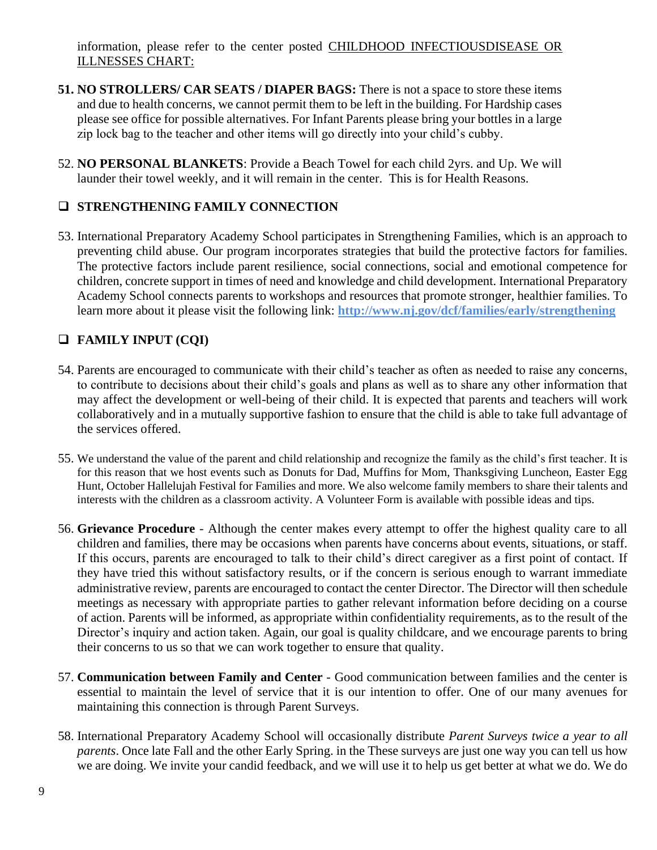information, please refer to the center posted CHILDHOOD INFECTIOUSDISEASE OR ILLNESSES CHART:

- **51. NO STROLLERS/ CAR SEATS / DIAPER BAGS:** There is not a space to store these items and due to health concerns, we cannot permit them to be left in the building. For Hardship cases please see office for possible alternatives. For Infant Parents please bring your bottles in a large zip lock bag to the teacher and other items will go directly into your child's cubby.
- 52. **NO PERSONAL BLANKETS**: Provide a Beach Towel for each child 2yrs. and Up. We will launder their towel weekly, and it will remain in the center. This is for Health Reasons.

# ❑ **STRENGTHENING FAMILY CONNECTION**

53. International Preparatory Academy School participates in Strengthening Families, which is an approach to preventing child abuse. Our program incorporates strategies that build the protective factors for families. The protective factors include parent resilience, social connections, social and emotional competence for children, concrete support in times of need and knowledge and child development. International Preparatory Academy School connects parents to workshops and resources that promote stronger, healthier families. To learn more about it please visit the following link: **http://www.nj.gov/dcf/families/early/strengthening**

# ❑ **FAMILY INPUT (CQI)**

- 54. Parents are encouraged to communicate with their child's teacher as often as needed to raise any concerns, to contribute to decisions about their child's goals and plans as well as to share any other information that may affect the development or well-being of their child. It is expected that parents and teachers will work collaboratively and in a mutually supportive fashion to ensure that the child is able to take full advantage of the services offered.
- 55. We understand the value of the parent and child relationship and recognize the family as the child's first teacher. It is for this reason that we host events such as Donuts for Dad, Muffins for Mom, Thanksgiving Luncheon, Easter Egg Hunt, October Hallelujah Festival for Families and more. We also welcome family members to share their talents and interests with the children as a classroom activity. A Volunteer Form is available with possible ideas and tips.
- 56. **Grievance Procedure** Although the center makes every attempt to offer the highest quality care to all children and families, there may be occasions when parents have concerns about events, situations, or staff. If this occurs, parents are encouraged to talk to their child's direct caregiver as a first point of contact. If they have tried this without satisfactory results, or if the concern is serious enough to warrant immediate administrative review, parents are encouraged to contact the center Director. The Director will then schedule meetings as necessary with appropriate parties to gather relevant information before deciding on a course of action. Parents will be informed, as appropriate within confidentiality requirements, as to the result of the Director's inquiry and action taken. Again, our goal is quality childcare, and we encourage parents to bring their concerns to us so that we can work together to ensure that quality.
- 57. **Communication between Family and Center** Good communication between families and the center is essential to maintain the level of service that it is our intention to offer. One of our many avenues for maintaining this connection is through Parent Surveys.
- 58. International Preparatory Academy School will occasionally distribute *Parent Surveys twice a year to all parents*. Once late Fall and the other Early Spring. in the These surveys are just one way you can tell us how we are doing. We invite your candid feedback, and we will use it to help us get better at what we do. We do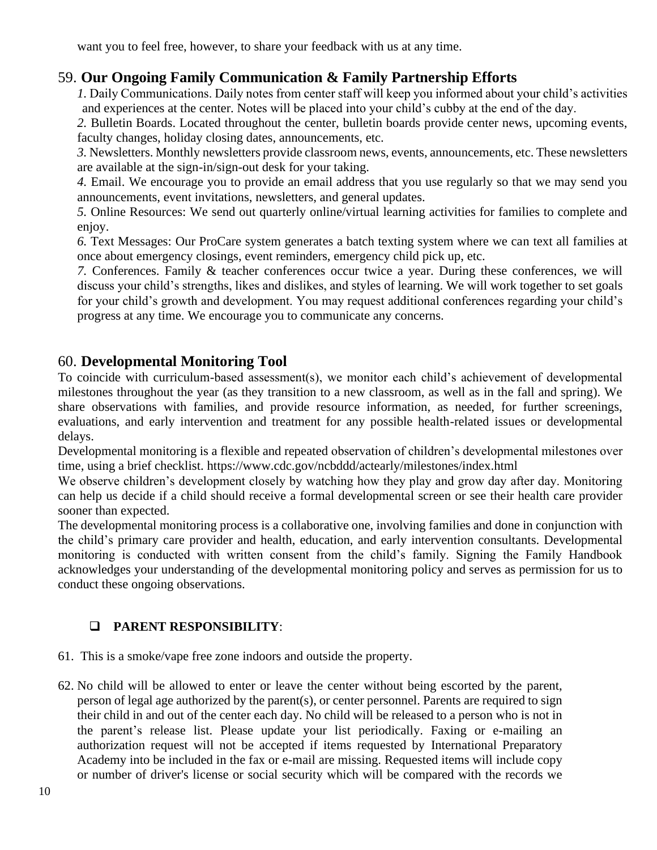want you to feel free, however, to share your feedback with us at any time.

# 59. **Our Ongoing Family Communication & Family Partnership Efforts**

*1.* Daily Communications. Daily notes from center staff will keep you informed about your child's activities and experiences at the center. Notes will be placed into your child's cubby at the end of the day.

*2.* Bulletin Boards. Located throughout the center, bulletin boards provide center news, upcoming events, faculty changes, holiday closing dates, announcements, etc.

*3.* Newsletters. Monthly newsletters provide classroom news, events, announcements, etc. These newsletters are available at the sign-in/sign-out desk for your taking.

*4.* Email. We encourage you to provide an email address that you use regularly so that we may send you announcements, event invitations, newsletters, and general updates.

*5.* Online Resources: We send out quarterly online/virtual learning activities for families to complete and enjoy.

*6.* Text Messages: Our ProCare system generates a batch texting system where we can text all families at once about emergency closings, event reminders, emergency child pick up, etc.

*7.* Conferences. Family & teacher conferences occur twice a year. During these conferences, we will discuss your child's strengths, likes and dislikes, and styles of learning. We will work together to set goals for your child's growth and development. You may request additional conferences regarding your child's progress at any time. We encourage you to communicate any concerns.

# 60. **Developmental Monitoring Tool**

To coincide with curriculum-based assessment(s), we monitor each child's achievement of developmental milestones throughout the year (as they transition to a new classroom, as well as in the fall and spring). We share observations with families, and provide resource information, as needed, for further screenings, evaluations, and early intervention and treatment for any possible health-related issues or developmental delays.

Developmental monitoring is a flexible and repeated observation of children's developmental milestones over time, using a brief checklist. https://www.cdc.gov/ncbddd/actearly/milestones/index.html

We observe children's development closely by watching how they play and grow day after day. Monitoring can help us decide if a child should receive a formal developmental screen or see their health care provider sooner than expected.

The developmental monitoring process is a collaborative one, involving families and done in conjunction with the child's primary care provider and health, education, and early intervention consultants. Developmental monitoring is conducted with written consent from the child's family. Signing the Family Handbook acknowledges your understanding of the developmental monitoring policy and serves as permission for us to conduct these ongoing observations.

# ❑ **PARENT RESPONSIBILITY**:

- 61. This is a smoke/vape free zone indoors and outside the property.
- 62. No child will be allowed to enter or leave the center without being escorted by the parent, person of legal age authorized by the parent(s), or center personnel. Parents are required to sign their child in and out of the center each day. No child will be released to a person who is not in the parent's release list. Please update your list periodically. Faxing or e-mailing an authorization request will not be accepted if items requested by International Preparatory Academy into be included in the fax or e-mail are missing. Requested items will include copy or number of driver's license or social security which will be compared with the records we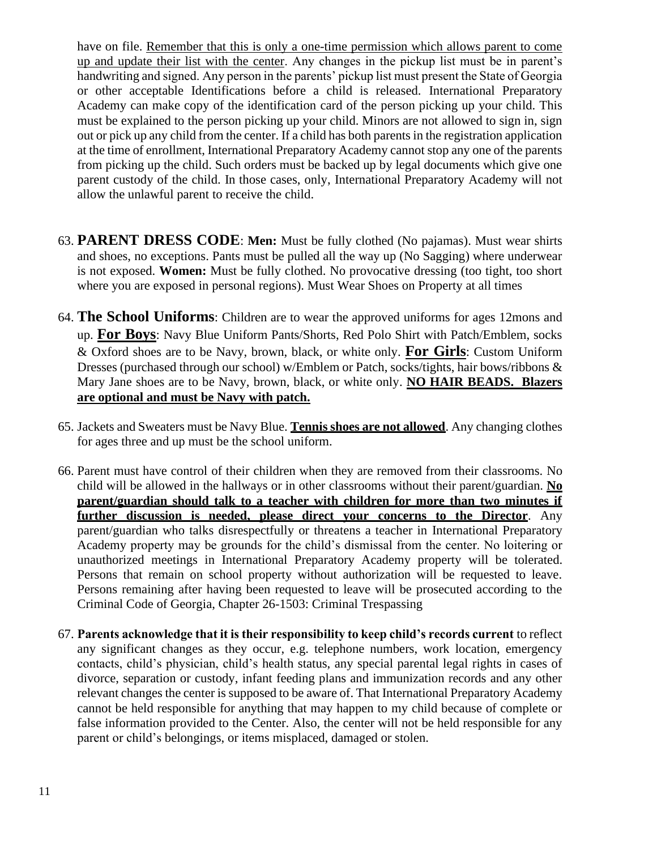have on file. Remember that this is only a one-time permission which allows parent to come up and update their list with the center. Any changes in the pickup list must be in parent's handwriting and signed. Any person in the parents' pickup list must present the State of Georgia or other acceptable Identifications before a child is released. International Preparatory Academy can make copy of the identification card of the person picking up your child. This must be explained to the person picking up your child. Minors are not allowed to sign in, sign out or pick up any child from the center. If a child has both parents in the registration application at the time of enrollment, International Preparatory Academy cannot stop any one of the parents from picking up the child. Such orders must be backed up by legal documents which give one parent custody of the child. In those cases, only, International Preparatory Academy will not allow the unlawful parent to receive the child.

- 63. **PARENT DRESS CODE**: **Men:** Must be fully clothed (No pajamas). Must wear shirts and shoes, no exceptions. Pants must be pulled all the way up (No Sagging) where underwear is not exposed. **Women:** Must be fully clothed. No provocative dressing (too tight, too short where you are exposed in personal regions). Must Wear Shoes on Property at all times
- 64. **The School Uniforms**: Children are to wear the approved uniforms for ages 12mons and up. **For Boys**: Navy Blue Uniform Pants/Shorts, Red Polo Shirt with Patch/Emblem, socks & Oxford shoes are to be Navy, brown, black, or white only. **For Girls**: Custom Uniform Dresses (purchased through our school) w/Emblem or Patch, socks/tights, hair bows/ribbons & Mary Jane shoes are to be Navy, brown, black, or white only. **NO HAIR BEADS. Blazers are optional and must be Navy with patch.**
- 65. Jackets and Sweaters must be Navy Blue. **Tennis shoes are not allowed**. Any changing clothes for ages three and up must be the school uniform.
- 66. Parent must have control of their children when they are removed from their classrooms. No child will be allowed in the hallways or in other classrooms without their parent/guardian. **No parent/guardian should talk to a teacher with children for more than two minutes if further discussion is needed, please direct your concerns to the Director**. Any parent/guardian who talks disrespectfully or threatens a teacher in International Preparatory Academy property may be grounds for the child's dismissal from the center. No loitering or unauthorized meetings in International Preparatory Academy property will be tolerated. Persons that remain on school property without authorization will be requested to leave. Persons remaining after having been requested to leave will be prosecuted according to the Criminal Code of Georgia, Chapter 26-1503: Criminal Trespassing
- 67. **Parents acknowledge that it is their responsibility to keep child's records current** to reflect any significant changes as they occur, e.g. telephone numbers, work location, emergency contacts, child's physician, child's health status, any special parental legal rights in cases of divorce, separation or custody, infant feeding plans and immunization records and any other relevant changes the center is supposed to be aware of. That International Preparatory Academy cannot be held responsible for anything that may happen to my child because of complete or false information provided to the Center. Also, the center will not be held responsible for any parent or child's belongings, or items misplaced, damaged or stolen.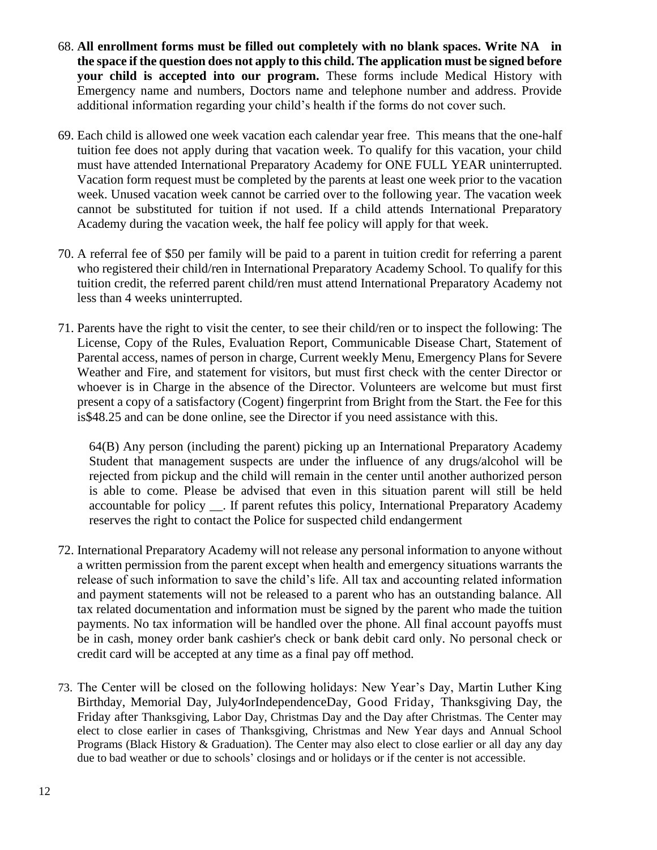- 68. **All enrollment forms must be filled out completely with no blank spaces. Write NA in the space if the question does not apply to this child. The application must be signed before your child is accepted into our program.** These forms include Medical History with Emergency name and numbers, Doctors name and telephone number and address. Provide additional information regarding your child's health if the forms do not cover such.
- 69. Each child is allowed one week vacation each calendar year free. This means that the one-half tuition fee does not apply during that vacation week. To qualify for this vacation, your child must have attended International Preparatory Academy for ONE FULL YEAR uninterrupted. Vacation form request must be completed by the parents at least one week prior to the vacation week. Unused vacation week cannot be carried over to the following year. The vacation week cannot be substituted for tuition if not used. If a child attends International Preparatory Academy during the vacation week, the half fee policy will apply for that week.
- 70. A referral fee of \$50 per family will be paid to a parent in tuition credit for referring a parent who registered their child/ren in International Preparatory Academy School. To qualify for this tuition credit, the referred parent child/ren must attend International Preparatory Academy not less than 4 weeks uninterrupted.
- 71. Parents have the right to visit the center, to see their child/ren or to inspect the following: The License, Copy of the Rules, Evaluation Report, Communicable Disease Chart, Statement of Parental access, names of person in charge, Current weekly Menu, Emergency Plans for Severe Weather and Fire, and statement for visitors, but must first check with the center Director or whoever is in Charge in the absence of the Director. Volunteers are welcome but must first present a copy of a satisfactory (Cogent) fingerprint from Bright from the Start. the Fee for this is\$48.25 and can be done online, see the Director if you need assistance with this.

64(B) Any person (including the parent) picking up an International Preparatory Academy Student that management suspects are under the influence of any drugs/alcohol will be rejected from pickup and the child will remain in the center until another authorized person is able to come. Please be advised that even in this situation parent will still be held accountable for policy \_\_. If parent refutes this policy, International Preparatory Academy reserves the right to contact the Police for suspected child endangerment

- 72. International Preparatory Academy will not release any personal information to anyone without a written permission from the parent except when health and emergency situations warrants the release of such information to save the child's life. All tax and accounting related information and payment statements will not be released to a parent who has an outstanding balance. All tax related documentation and information must be signed by the parent who made the tuition payments. No tax information will be handled over the phone. All final account payoffs must be in cash, money order bank cashier's check or bank debit card only. No personal check or credit card will be accepted at any time as a final pay off method.
- 73. The Center will be closed on the following holidays: New Year's Day, Martin Luther King Birthday, Memorial Day, July4orIndependenceDay, Good Friday, Thanksgiving Day, the Friday after Thanksgiving, Labor Day, Christmas Day and the Day after Christmas. The Center may elect to close earlier in cases of Thanksgiving, Christmas and New Year days and Annual School Programs (Black History & Graduation). The Center may also elect to close earlier or all day any day due to bad weather or due to schools' closings and or holidays or if the center is not accessible.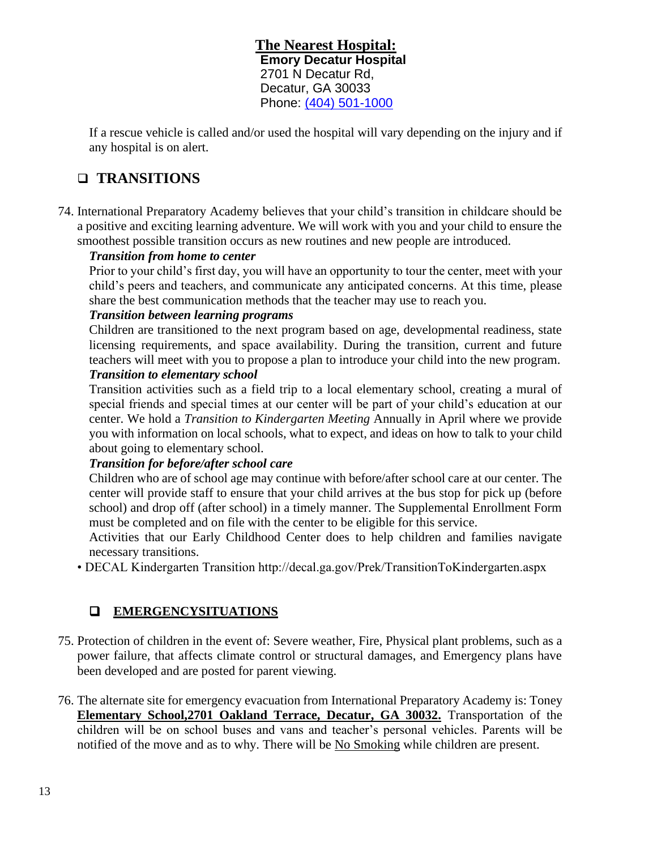**The Nearest Hospital: Emory Decatur Hospital** 2701 N Decatur Rd, Decatur, GA 30033 Phone: [\(404\) 501-1000](https://www.google.com/search?rlz=1C1NHXL_enUS757US757&q=hospital+near+me&npsic=0&rflfq=1&rlha=0&rllag=33776133,-84294625,212&tbm=lcl&ved=2ahUKEwiDk9m0xorjAhUCn-AKHUi7DQEQjGp6BAgKEDg&tbs=lrf:!2m1!1e2!2m1!1e3!2m1!1e16!3sIAE,lf:1,lf_ui:2&rldoc=1)

If a rescue vehicle is called and/or used the hospital will vary depending on the injury and if any hospital is on alert.

# ❑ **TRANSITIONS**

74. International Preparatory Academy believes that your child's transition in childcare should be a positive and exciting learning adventure. We will work with you and your child to ensure the smoothest possible transition occurs as new routines and new people are introduced.

### *Transition from home to center*

Prior to your child's first day, you will have an opportunity to tour the center, meet with your child's peers and teachers, and communicate any anticipated concerns. At this time, please share the best communication methods that the teacher may use to reach you.

### *Transition between learning programs*

Children are transitioned to the next program based on age, developmental readiness, state licensing requirements, and space availability. During the transition, current and future teachers will meet with you to propose a plan to introduce your child into the new program. *Transition to elementary school* 

Transition activities such as a field trip to a local elementary school, creating a mural of special friends and special times at our center will be part of your child's education at our center. We hold a *Transition to Kindergarten Meeting* Annually in April where we provide you with information on local schools, what to expect, and ideas on how to talk to your child about going to elementary school.

# *Transition for before/after school care*

Children who are of school age may continue with before/after school care at our center. The center will provide staff to ensure that your child arrives at the bus stop for pick up (before school) and drop off (after school) in a timely manner. The Supplemental Enrollment Form must be completed and on file with the center to be eligible for this service.

Activities that our Early Childhood Center does to help children and families navigate necessary transitions.

• DECAL Kindergarten Transition http://decal.ga.gov/Prek/TransitionToKindergarten.aspx

# ❑ **EMERGENCYSITUATIONS**

- 75. Protection of children in the event of: Severe weather, Fire, Physical plant problems, such as a power failure, that affects climate control or structural damages, and Emergency plans have been developed and are posted for parent viewing.
- 76. The alternate site for emergency evacuation from International Preparatory Academy is: Toney **Elementary School,2701 Oakland Terrace, Decatur, GA 30032.** Transportation of the children will be on school buses and vans and teacher's personal vehicles. Parents will be notified of the move and as to why. There will be No Smoking while children are present.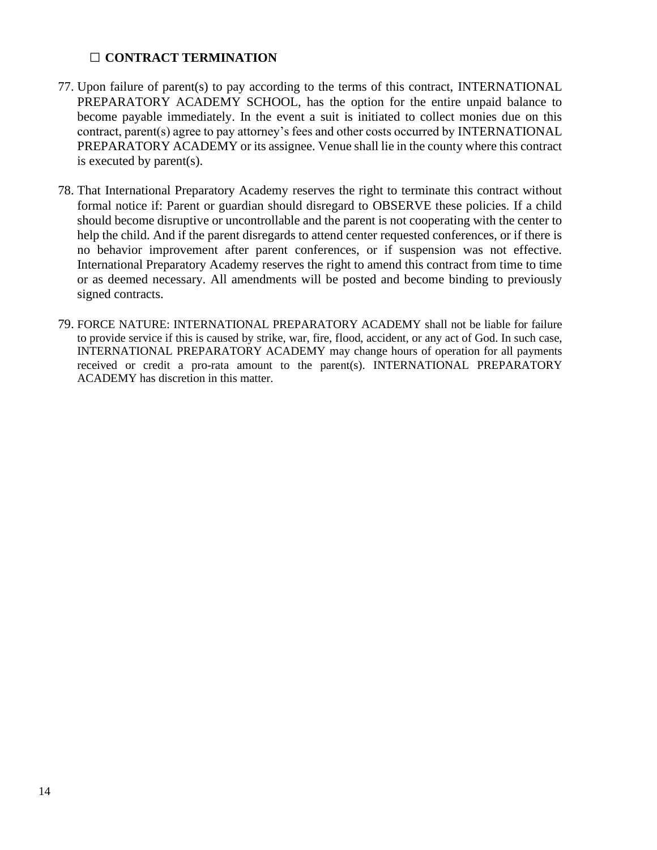#### □ **CONTRACT TERMINATION**

- 77. Upon failure of parent(s) to pay according to the terms of this contract, INTERNATIONAL PREPARATORY ACADEMY SCHOOL, has the option for the entire unpaid balance to become payable immediately. In the event a suit is initiated to collect monies due on this contract, parent(s) agree to pay attorney's fees and other costs occurred by INTERNATIONAL PREPARATORY ACADEMY or its assignee. Venue shall lie in the county where this contract is executed by parent(s).
- 78. That International Preparatory Academy reserves the right to terminate this contract without formal notice if: Parent or guardian should disregard to OBSERVE these policies. If a child should become disruptive or uncontrollable and the parent is not cooperating with the center to help the child. And if the parent disregards to attend center requested conferences, or if there is no behavior improvement after parent conferences, or if suspension was not effective. International Preparatory Academy reserves the right to amend this contract from time to time or as deemed necessary. All amendments will be posted and become binding to previously signed contracts.
- 79. FORCE NATURE: INTERNATIONAL PREPARATORY ACADEMY shall not be liable for failure to provide service if this is caused by strike, war, fire, flood, accident, or any act of God. In such case, INTERNATIONAL PREPARATORY ACADEMY may change hours of operation for all payments received or credit a pro-rata amount to the parent(s). INTERNATIONAL PREPARATORY ACADEMY has discretion in this matter.